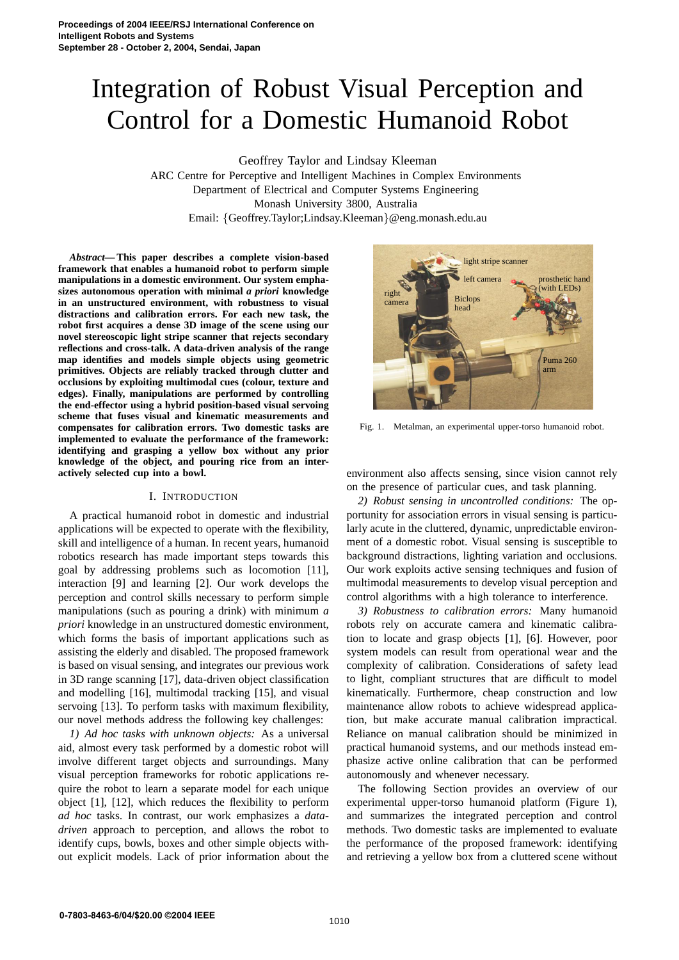# Integration of Robust Visual Perception and Control for a Domestic Humanoid Robot

Geoffrey Taylor and Lindsay Kleeman

ARC Centre for Perceptive and Intelligent Machines in Complex Environments Department of Electrical and Computer Systems Engineering Monash University 3800, Australia Email: {Geoffrey.Taylor;Lindsay.Kleeman}@eng.monash.edu.au

*Abstract***— This paper describes a complete vision-based framework that enables a humanoid robot to perform simple manipulations in a domestic environment. Our system emphasizes autonomous operation with minimal** *a priori* **knowledge in an unstructured environment, with robustness to visual distractions and calibration errors. For each new task, the robot first acquires a dense 3D image of the scene using our novel stereoscopic light stripe scanner that rejects secondary reflections and cross-talk. A data-driven analysis of the range map identifies and models simple objects using geometric primitives. Objects are reliably tracked through clutter and occlusions by exploiting multimodal cues (colour, texture and edges). Finally, manipulations are performed by controlling the end-effector using a hybrid position-based visual servoing scheme that fuses visual and kinematic measurements and compensates for calibration errors. Two domestic tasks are implemented to evaluate the performance of the framework: identifying and grasping a yellow box without any prior knowledge of the object, and pouring rice from an interactively selected cup into a bowl.**

#### I. INTRODUCTION

A practical humanoid robot in domestic and industrial applications will be expected to operate with the flexibility, skill and intelligence of a human. In recent years, humanoid robotics research has made important steps towards this goal by addressing problems such as locomotion [11], interaction [9] and learning [2]. Our work develops the perception and control skills necessary to perform simple manipulations (such as pouring a drink) with minimum *a priori* knowledge in an unstructured domestic environment, which forms the basis of important applications such as assisting the elderly and disabled. The proposed framework is based on visual sensing, and integrates our previous work in 3D range scanning [17], data-driven object classification and modelling [16], multimodal tracking [15], and visual servoing [13]. To perform tasks with maximum flexibility, our novel methods address the following key challenges:

*1) Ad hoc tasks with unknown objects:* As a universal aid, almost every task performed by a domestic robot will involve different target objects and surroundings. Many visual perception frameworks for robotic applications require the robot to learn a separate model for each unique object [1], [12], which reduces the flexibility to perform *ad hoc* tasks. In contrast, our work emphasizes a *datadriven* approach to perception, and allows the robot to identify cups, bowls, boxes and other simple objects without explicit models. Lack of prior information about the



Fig. 1. Metalman, an experimental upper-torso humanoid robot.

environment also affects sensing, since vision cannot rely on the presence of particular cues, and task planning.

*2) Robust sensing in uncontrolled conditions:* The opportunity for association errors in visual sensing is particularly acute in the cluttered, dynamic, unpredictable environment of a domestic robot. Visual sensing is susceptible to background distractions, lighting variation and occlusions. Our work exploits active sensing techniques and fusion of multimodal measurements to develop visual perception and control algorithms with a high tolerance to interference.

*3) Robustness to calibration errors:* Many humanoid robots rely on accurate camera and kinematic calibration to locate and grasp objects [1], [6]. However, poor system models can result from operational wear and the complexity of calibration. Considerations of safety lead to light, compliant structures that are difficult to model kinematically. Furthermore, cheap construction and low maintenance allow robots to achieve widespread application, but make accurate manual calibration impractical. Reliance on manual calibration should be minimized in practical humanoid systems, and our methods instead emphasize active online calibration that can be performed autonomously and whenever necessary.

The following Section provides an overview of our experimental upper-torso humanoid platform (Figure 1), and summarizes the integrated perception and control methods. Two domestic tasks are implemented to evaluate the performance of the proposed framework: identifying and retrieving a yellow box from a cluttered scene without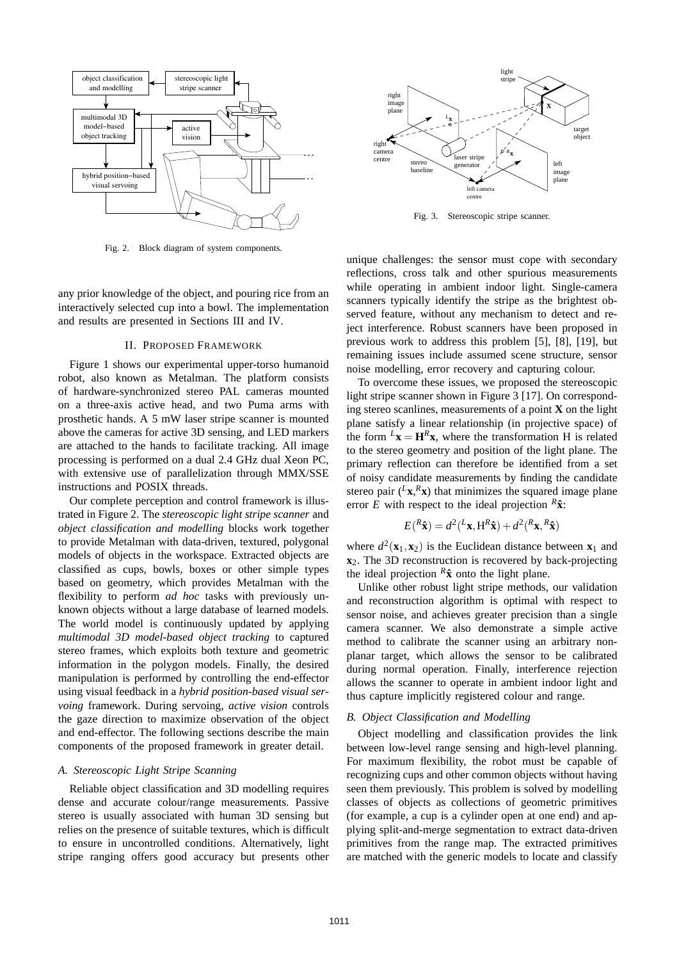

Fig. 2. Block diagram of system components.

any prior knowledge of the object, and pouring rice from an interactively selected cup into a bowl. The implementation and results are presented in Sections III and IV.

#### II. PROPOSED FRAMEWORK

Figure 1 shows our experimental upper-torso humanoid robot, also known as Metalman. The platform consists of hardware-synchronized stereo PAL cameras mounted on a three-axis active head, and two Puma arms with prosthetic hands. A 5 mW laser stripe scanner is mounted above the cameras for active 3D sensing, and LED markers are attached to the hands to facilitate tracking. All image processing is performed on a dual 2.4 GHz dual Xeon PC, with extensive use of parallelization through MMX/SSE instructions and POSIX threads.

Our complete perception and control framework is illustrated in Figure 2. The *stereoscopic light stripe scanner* and *object classification and modelling* blocks work together to provide Metalman with data-driven, textured, polygonal models of objects in the workspace. Extracted objects are classified as cups, bowls, boxes or other simple types based on geometry, which provides Metalman with the flexibility to perform *ad hoc* tasks with previously unknown objects without a large database of learned models. The world model is continuously updated by applying *multimodal 3D model-based object tracking* to captured stereo frames, which exploits both texture and geometric information in the polygon models. Finally, the desired manipulation is performed by controlling the end-effector using visual feedback in a *hybrid position-based visual servoing* framework. During servoing, *active vision* controls the gaze direction to maximize observation of the object and end-effector. The following sections describe the main components of the proposed framework in greater detail.

## *A. Stereoscopic Light Stripe Scanning*

Reliable object classification and 3D modelling requires dense and accurate colour/range measurements. Passive stereo is usually associated with human 3D sensing but relies on the presence of suitable textures, which is difficult to ensure in uncontrolled conditions. Alternatively, light stripe ranging offers good accuracy but presents other



Fig. 3. Stereoscopic stripe scanner.

unique challenges: the sensor must cope with secondary reflections, cross talk and other spurious measurements while operating in ambient indoor light. Single-camera scanners typically identify the stripe as the brightest observed feature, without any mechanism to detect and reject interference. Robust scanners have been proposed in previous work to address this problem [5], [8], [19], but remaining issues include assumed scene structure, sensor noise modelling, error recovery and capturing colour.

To overcome these issues, we proposed the stereoscopic light stripe scanner shown in Figure 3 [17]. On corresponding stereo scanlines, measurements of a point **X** on the light plane satisfy a linear relationship (in projective space) of the form  $L$ **x** =  $\mathbf{H}^R$ **x**, where the transformation H is related to the stereo geometry and position of the light plane. The primary reflection can therefore be identified from a set of noisy candidate measurements by finding the candidate stereo pair  $\left(\frac{L_{\mathbf{X}} R_{\mathbf{X}}}{L_{\mathbf{X}}} \right)$  that minimizes the squared image plane error *E* with respect to the ideal projection  $R\hat{\mathbf{x}}$ :

$$
E({}^R\hat{\mathbf{x}}) = d^2({}^L\mathbf{x}, \mathbf{H}^R\hat{\mathbf{x}}) + d^2({}^R\mathbf{x}, {}^R\hat{\mathbf{x}})
$$

where  $d^2$ (**x**<sub>1</sub>, **x**<sub>2</sub>) is the Euclidean distance between **x**<sub>1</sub> and **x**2. The 3D reconstruction is recovered by back-projecting the ideal projection  $^R$ **x** onto the light plane.

Unlike other robust light stripe methods, our validation and reconstruction algorithm is optimal with respect to sensor noise, and achieves greater precision than a single camera scanner. We also demonstrate a simple active method to calibrate the scanner using an arbitrary nonplanar target, which allows the sensor to be calibrated during normal operation. Finally, interference rejection allows the scanner to operate in ambient indoor light and thus capture implicitly registered colour and range.

#### *B. Object Classification and Modelling*

Object modelling and classification provides the link between low-level range sensing and high-level planning. For maximum flexibility, the robot must be capable of recognizing cups and other common objects without having seen them previously. This problem is solved by modelling classes of objects as collections of geometric primitives (for example, a cup is a cylinder open at one end) and applying split-and-merge segmentation to extract data-driven primitives from the range map. The extracted primitives are matched with the generic models to locate and classify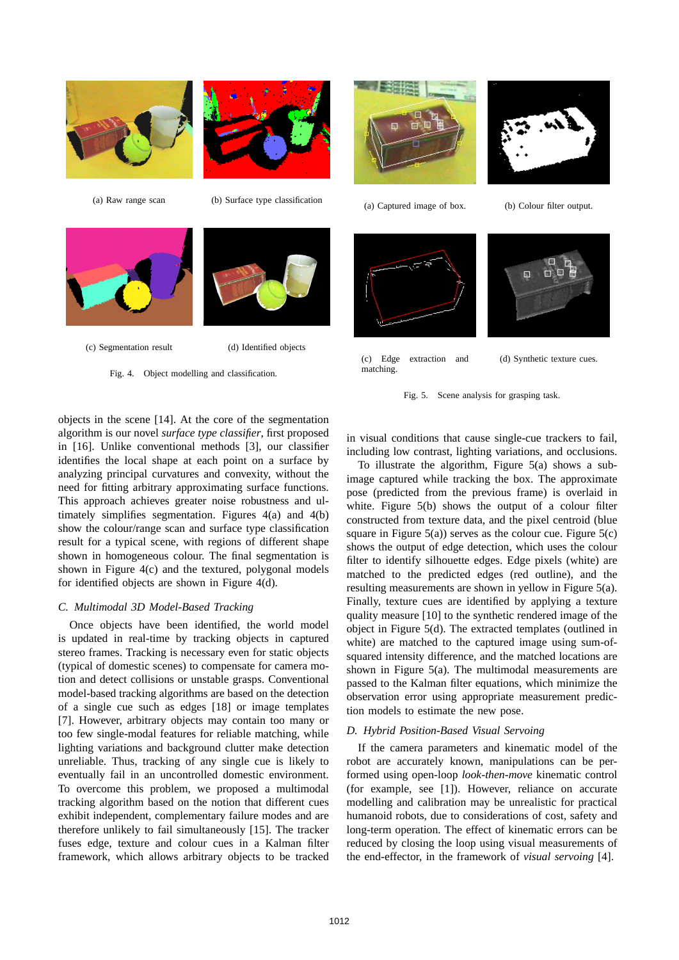



(a) Raw range scan (b) Surface type classification







Fig. 4. Object modelling and classification.



(a) Captured image of box. (b) Colour filter output.



(c) Edge extraction and matching.



 $\Box$ 



objects in the scene [14]. At the core of the segmentation algorithm is our novel *surface type classifier*, first proposed in [16]. Unlike conventional methods [3], our classifier identifies the local shape at each point on a surface by analyzing principal curvatures and convexity, without the need for fitting arbitrary approximating surface functions. This approach achieves greater noise robustness and ultimately simplifies segmentation. Figures 4(a) and 4(b) show the colour/range scan and surface type classification result for a typical scene, with regions of different shape shown in homogeneous colour. The final segmentation is shown in Figure 4(c) and the textured, polygonal models for identified objects are shown in Figure 4(d).

## *C. Multimodal 3D Model-Based Tracking*

Once objects have been identified, the world model is updated in real-time by tracking objects in captured stereo frames. Tracking is necessary even for static objects (typical of domestic scenes) to compensate for camera motion and detect collisions or unstable grasps. Conventional model-based tracking algorithms are based on the detection of a single cue such as edges [18] or image templates [7]. However, arbitrary objects may contain too many or too few single-modal features for reliable matching, while lighting variations and background clutter make detection unreliable. Thus, tracking of any single cue is likely to eventually fail in an uncontrolled domestic environment. To overcome this problem, we proposed a multimodal tracking algorithm based on the notion that different cues exhibit independent, complementary failure modes and are therefore unlikely to fail simultaneously [15]. The tracker fuses edge, texture and colour cues in a Kalman filter framework, which allows arbitrary objects to be tracked

in visual conditions that cause single-cue trackers to fail, including low contrast, lighting variations, and occlusions.

To illustrate the algorithm, Figure 5(a) shows a subimage captured while tracking the box. The approximate pose (predicted from the previous frame) is overlaid in white. Figure 5(b) shows the output of a colour filter constructed from texture data, and the pixel centroid (blue square in Figure  $5(a)$ ) serves as the colour cue. Figure  $5(c)$ shows the output of edge detection, which uses the colour filter to identify silhouette edges. Edge pixels (white) are matched to the predicted edges (red outline), and the resulting measurements are shown in yellow in Figure 5(a). Finally, texture cues are identified by applying a texture quality measure [10] to the synthetic rendered image of the object in Figure 5(d). The extracted templates (outlined in white) are matched to the captured image using sum-ofsquared intensity difference, and the matched locations are shown in Figure  $5(a)$ . The multimodal measurements are passed to the Kalman filter equations, which minimize the observation error using appropriate measurement prediction models to estimate the new pose.

## *D. Hybrid Position-Based Visual Servoing*

If the camera parameters and kinematic model of the robot are accurately known, manipulations can be performed using open-loop *look-then-move* kinematic control (for example, see [1]). However, reliance on accurate modelling and calibration may be unrealistic for practical humanoid robots, due to considerations of cost, safety and long-term operation. The effect of kinematic errors can be reduced by closing the loop using visual measurements of the end-effector, in the framework of *visual servoing* [4].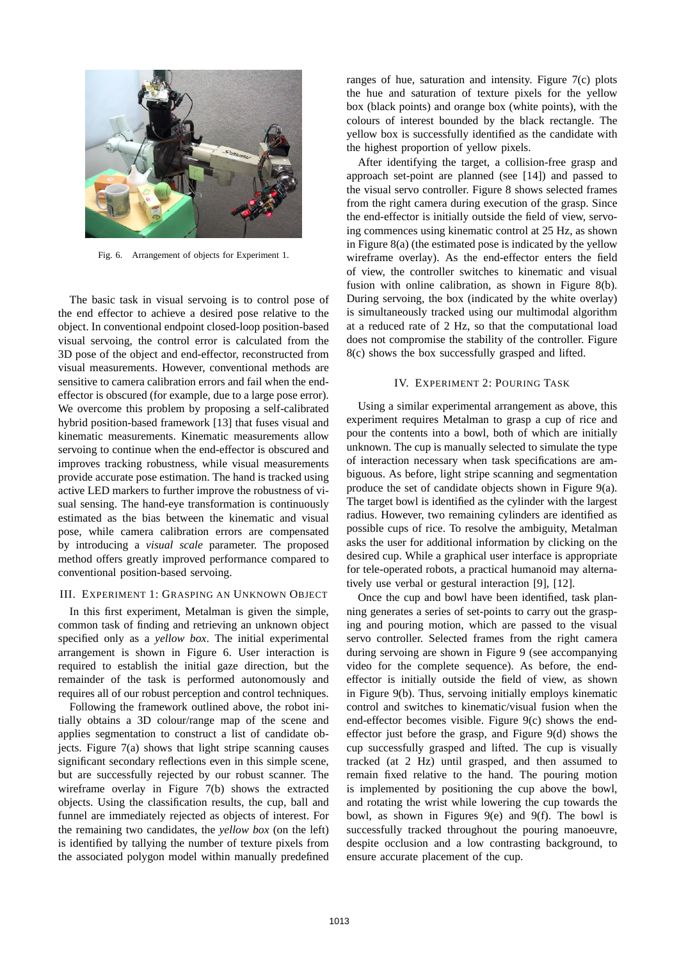

Fig. 6. Arrangement of objects for Experiment 1.

The basic task in visual servoing is to control pose of the end effector to achieve a desired pose relative to the object. In conventional endpoint closed-loop position-based visual servoing, the control error is calculated from the 3D pose of the object and end-effector, reconstructed from visual measurements. However, conventional methods are sensitive to camera calibration errors and fail when the endeffector is obscured (for example, due to a large pose error). We overcome this problem by proposing a self-calibrated hybrid position-based framework [13] that fuses visual and kinematic measurements. Kinematic measurements allow servoing to continue when the end-effector is obscured and improves tracking robustness, while visual measurements provide accurate pose estimation. The hand is tracked using active LED markers to further improve the robustness of visual sensing. The hand-eye transformation is continuously estimated as the bias between the kinematic and visual pose, while camera calibration errors are compensated by introducing a *visual scale* parameter. The proposed method offers greatly improved performance compared to conventional position-based servoing.

### III. EXPERIMENT 1: GRASPING AN UNKNOWN OBJECT

In this first experiment, Metalman is given the simple, common task of finding and retrieving an unknown object specified only as a *yellow box*. The initial experimental arrangement is shown in Figure 6. User interaction is required to establish the initial gaze direction, but the remainder of the task is performed autonomously and requires all of our robust perception and control techniques.

Following the framework outlined above, the robot initially obtains a 3D colour/range map of the scene and applies segmentation to construct a list of candidate objects. Figure 7(a) shows that light stripe scanning causes significant secondary reflections even in this simple scene, but are successfully rejected by our robust scanner. The wireframe overlay in Figure 7(b) shows the extracted objects. Using the classification results, the cup, ball and funnel are immediately rejected as objects of interest. For the remaining two candidates, the *yellow box* (on the left) is identified by tallying the number of texture pixels from the associated polygon model within manually predefined

ranges of hue, saturation and intensity. Figure 7(c) plots the hue and saturation of texture pixels for the yellow box (black points) and orange box (white points), with the colours of interest bounded by the black rectangle. The yellow box is successfully identified as the candidate with the highest proportion of yellow pixels.

After identifying the target, a collision-free grasp and approach set-point are planned (see [14]) and passed to the visual servo controller. Figure 8 shows selected frames from the right camera during execution of the grasp. Since the end-effector is initially outside the field of view, servoing commences using kinematic control at 25 Hz, as shown in Figure 8(a) (the estimated pose is indicated by the yellow wireframe overlay). As the end-effector enters the field of view, the controller switches to kinematic and visual fusion with online calibration, as shown in Figure 8(b). During servoing, the box (indicated by the white overlay) is simultaneously tracked using our multimodal algorithm at a reduced rate of 2 Hz, so that the computational load does not compromise the stability of the controller. Figure 8(c) shows the box successfully grasped and lifted.

## IV. EXPERIMENT 2: POURING TASK

Using a similar experimental arrangement as above, this experiment requires Metalman to grasp a cup of rice and pour the contents into a bowl, both of which are initially unknown. The cup is manually selected to simulate the type of interaction necessary when task specifications are ambiguous. As before, light stripe scanning and segmentation produce the set of candidate objects shown in Figure 9(a). The target bowl is identified as the cylinder with the largest radius. However, two remaining cylinders are identified as possible cups of rice. To resolve the ambiguity, Metalman asks the user for additional information by clicking on the desired cup. While a graphical user interface is appropriate for tele-operated robots, a practical humanoid may alternatively use verbal or gestural interaction [9], [12].

Once the cup and bowl have been identified, task planning generates a series of set-points to carry out the grasping and pouring motion, which are passed to the visual servo controller. Selected frames from the right camera during servoing are shown in Figure 9 (see accompanying video for the complete sequence). As before, the endeffector is initially outside the field of view, as shown in Figure 9(b). Thus, servoing initially employs kinematic control and switches to kinematic/visual fusion when the end-effector becomes visible. Figure 9(c) shows the endeffector just before the grasp, and Figure 9(d) shows the cup successfully grasped and lifted. The cup is visually tracked (at 2 Hz) until grasped, and then assumed to remain fixed relative to the hand. The pouring motion is implemented by positioning the cup above the bowl, and rotating the wrist while lowering the cup towards the bowl, as shown in Figures 9(e) and 9(f). The bowl is successfully tracked throughout the pouring manoeuvre, despite occlusion and a low contrasting background, to ensure accurate placement of the cup.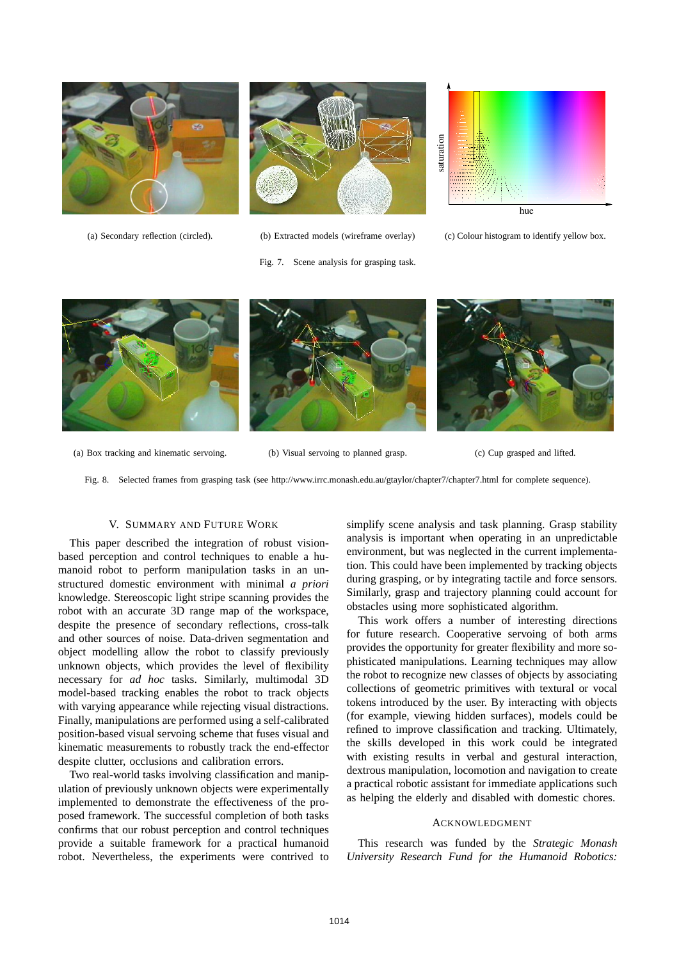

(a) Secondary reflection (circled). (b) Extracted models (wireframe overlay)



saturation saturation hue

(c) Colour histogram to identify yellow box.



Fig. 7. Scene analysis for grasping task.

(a) Box tracking and kinematic servoing. (b) Visual servoing to planned grasp. (c) Cup grasped and lifted.

Fig. 8. Selected frames from grasping task (see http://www.irrc.monash.edu.au/gtaylor/chapter7/chapter7.html for complete sequence).

## V. SUMMARY AND FUTURE WORK

This paper described the integration of robust visionbased perception and control techniques to enable a humanoid robot to perform manipulation tasks in an unstructured domestic environment with minimal *a priori* knowledge. Stereoscopic light stripe scanning provides the robot with an accurate 3D range map of the workspace, despite the presence of secondary reflections, cross-talk and other sources of noise. Data-driven segmentation and object modelling allow the robot to classify previously unknown objects, which provides the level of flexibility necessary for *ad hoc* tasks. Similarly, multimodal 3D model-based tracking enables the robot to track objects with varying appearance while rejecting visual distractions. Finally, manipulations are performed using a self-calibrated position-based visual servoing scheme that fuses visual and kinematic measurements to robustly track the end-effector despite clutter, occlusions and calibration errors.

Two real-world tasks involving classification and manipulation of previously unknown objects were experimentally implemented to demonstrate the effectiveness of the proposed framework. The successful completion of both tasks confirms that our robust perception and control techniques provide a suitable framework for a practical humanoid robot. Nevertheless, the experiments were contrived to simplify scene analysis and task planning. Grasp stability analysis is important when operating in an unpredictable environment, but was neglected in the current implementation. This could have been implemented by tracking objects during grasping, or by integrating tactile and force sensors. Similarly, grasp and trajectory planning could account for obstacles using more sophisticated algorithm.

This work offers a number of interesting directions for future research. Cooperative servoing of both arms provides the opportunity for greater flexibility and more sophisticated manipulations. Learning techniques may allow the robot to recognize new classes of objects by associating collections of geometric primitives with textural or vocal tokens introduced by the user. By interacting with objects (for example, viewing hidden surfaces), models could be refined to improve classification and tracking. Ultimately, the skills developed in this work could be integrated with existing results in verbal and gestural interaction, dextrous manipulation, locomotion and navigation to create a practical robotic assistant for immediate applications such as helping the elderly and disabled with domestic chores.

#### ACKNOWLEDGMENT

This research was funded by the *Strategic Monash University Research Fund for the Humanoid Robotics:*